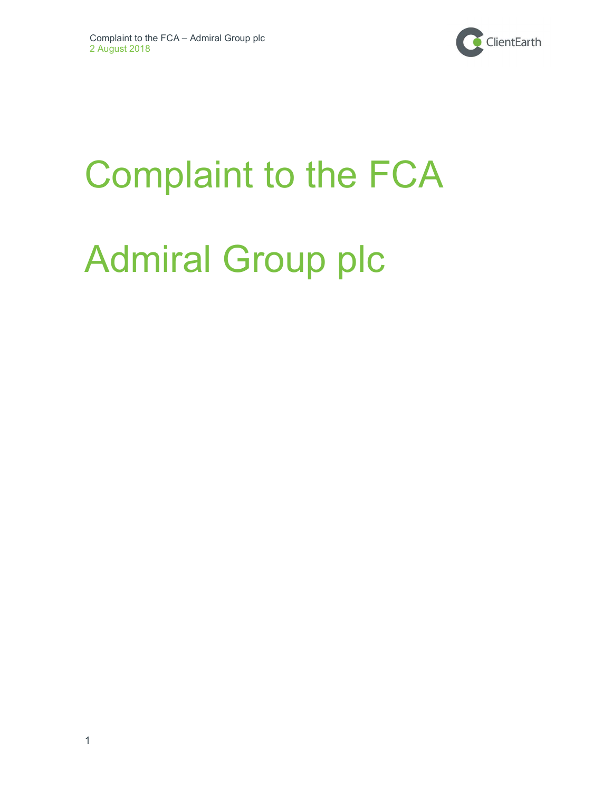

# Complaint to the FCA

# Admiral Group plc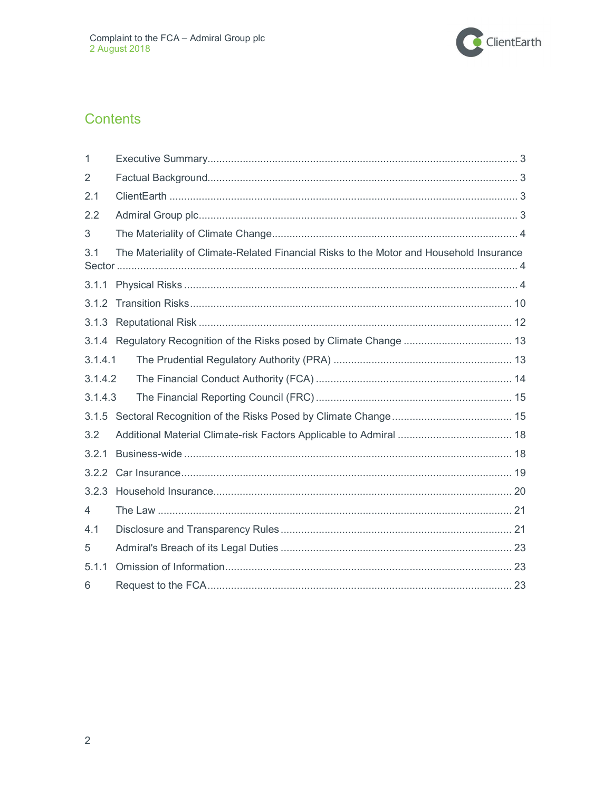

# Contents

| 1              |                                                                                         |
|----------------|-----------------------------------------------------------------------------------------|
| $\overline{2}$ |                                                                                         |
| 2.1            |                                                                                         |
| 2.2            |                                                                                         |
| 3              |                                                                                         |
| 3.1            | The Materiality of Climate-Related Financial Risks to the Motor and Household Insurance |
| 3.1.1          |                                                                                         |
|                |                                                                                         |
|                |                                                                                         |
|                | 3.1.4 Regulatory Recognition of the Risks posed by Climate Change  13                   |
| 3.1.4.1        |                                                                                         |
| 3.1.4.2        |                                                                                         |
| 3.1.4.3        |                                                                                         |
|                |                                                                                         |
| 3.2            |                                                                                         |
| 3.2.1          |                                                                                         |
| 3.2.2          |                                                                                         |
|                |                                                                                         |
| $\overline{4}$ |                                                                                         |
| 4.1            |                                                                                         |
| 5              |                                                                                         |
| 5.1.1          |                                                                                         |
| 6              |                                                                                         |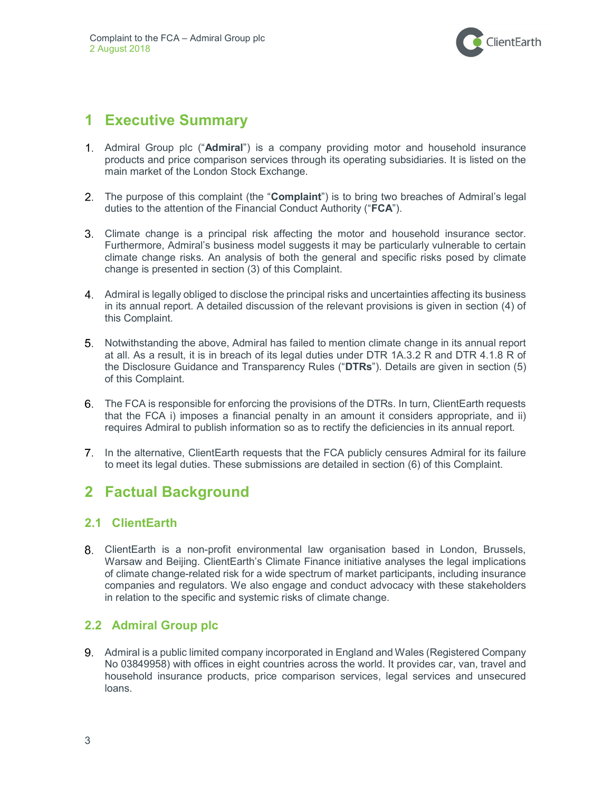

# 1 Executive Summary

- 1. Admiral Group plc ("Admiral") is a company providing motor and household insurance products and price comparison services through its operating subsidiaries. It is listed on the main market of the London Stock Exchange.
- 2. The purpose of this complaint (the "Complaint") is to bring two breaches of Admiral's legal duties to the attention of the Financial Conduct Authority ("FCA").
- Climate change is a principal risk affecting the motor and household insurance sector. Furthermore, Admiral's business model suggests it may be particularly vulnerable to certain climate change risks. An analysis of both the general and specific risks posed by climate change is presented in section (3) of this Complaint.
- Admiral is legally obliged to disclose the principal risks and uncertainties affecting its business in its annual report. A detailed discussion of the relevant provisions is given in section (4) of this Complaint.
- Notwithstanding the above, Admiral has failed to mention climate change in its annual report at all. As a result, it is in breach of its legal duties under DTR 1A.3.2 R and DTR 4.1.8 R of the Disclosure Guidance and Transparency Rules ("DTRs"). Details are given in section (5) of this Complaint.
- The FCA is responsible for enforcing the provisions of the DTRs. In turn, ClientEarth requests that the FCA i) imposes a financial penalty in an amount it considers appropriate, and ii) requires Admiral to publish information so as to rectify the deficiencies in its annual report.
- 7. In the alternative, ClientEarth requests that the FCA publicly censures Admiral for its failure to meet its legal duties. These submissions are detailed in section (6) of this Complaint.

# 2 Factual Background

## 2.1 ClientEarth

ClientEarth is a non-profit environmental law organisation based in London, Brussels, Warsaw and Beijing. ClientEarth's Climate Finance initiative analyses the legal implications of climate change-related risk for a wide spectrum of market participants, including insurance companies and regulators. We also engage and conduct advocacy with these stakeholders in relation to the specific and systemic risks of climate change.

## 2.2 Admiral Group plc

Admiral is a public limited company incorporated in England and Wales (Registered Company No 03849958) with offices in eight countries across the world. It provides car, van, travel and household insurance products, price comparison services, legal services and unsecured loans.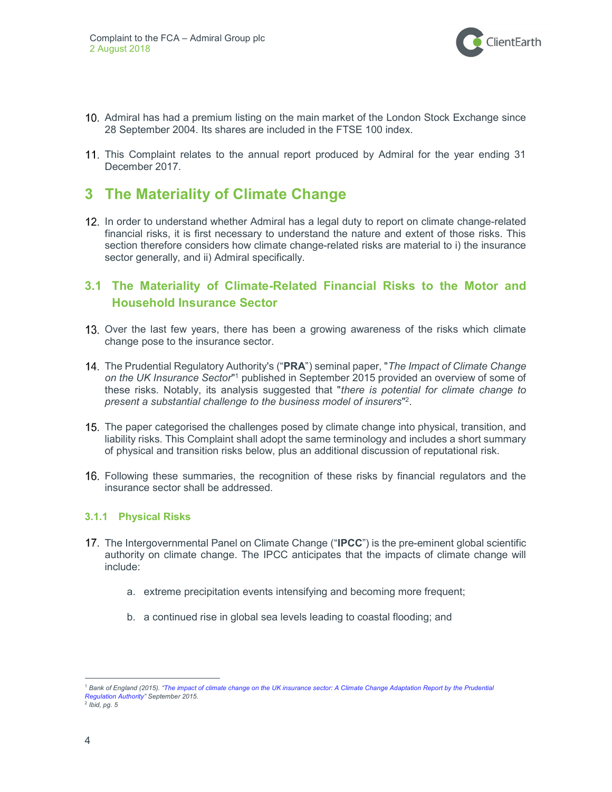

- Admiral has had a premium listing on the main market of the London Stock Exchange since 28 September 2004. Its shares are included in the FTSE 100 index.
- 11. This Complaint relates to the annual report produced by Admiral for the year ending 31 December 2017.

## 3 The Materiality of Climate Change

12. In order to understand whether Admiral has a legal duty to report on climate change-related financial risks, it is first necessary to understand the nature and extent of those risks. This section therefore considers how climate change-related risks are material to i) the insurance sector generally, and ii) Admiral specifically.

## 3.1 The Materiality of Climate-Related Financial Risks to the Motor and Household Insurance Sector

- 13. Over the last few years, there has been a growing awareness of the risks which climate change pose to the insurance sector.
- 14. The Prudential Regulatory Authority's ("PRA") seminal paper, "The Impact of Climate Change on the UK Insurance Sector<sup>11</sup> published in September 2015 provided an overview of some of these risks. Notably, its analysis suggested that "there is potential for climate change to present a substantial challenge to the business model of insurers" 2 .
- 15. The paper categorised the challenges posed by climate change into physical, transition, and liability risks. This Complaint shall adopt the same terminology and includes a short summary of physical and transition risks below, plus an additional discussion of reputational risk.
- Following these summaries, the recognition of these risks by financial regulators and the insurance sector shall be addressed.

#### 3.1.1 Physical Risks

- 17. The Intergovernmental Panel on Climate Change ("IPCC") is the pre-eminent global scientific authority on climate change. The IPCC anticipates that the impacts of climate change will include:
	- a. extreme precipitation events intensifying and becoming more frequent;
	- b. a continued rise in global sea levels leading to coastal flooding; and

<sup>&</sup>lt;sup>1</sup> Bank of England (2015). "The impact of climate change on the UK insurance sector: A Climate Change Adaptation Report by the Prudential Regulation Authority" September 2015.

<sup>&</sup>lt;sup>2</sup> Ibid, pg. 5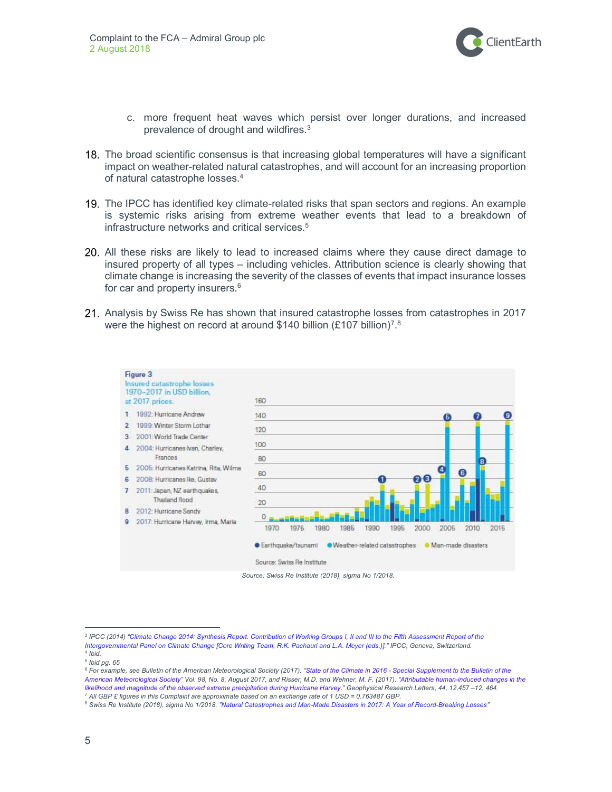

- c. more frequent heat waves which persist over longer durations, and increased prevalence of drought and wildfires.<sup>3</sup>
- 18. The broad scientific consensus is that increasing global temperatures will have a significant impact on weather-related natural catastrophes, and will account for an increasing proportion of natural catastrophe losses.<sup>4</sup>
- 19. The IPCC has identified key climate-related risks that span sectors and regions. An example is systemic risks arising from extreme weather events that lead to a breakdown of infrastructure networks and critical services.<sup>5</sup>
- All these risks are likely to lead to increased claims where they cause direct damage to insured property of all types – including vehicles. Attribution science is clearly showing that climate change is increasing the severity of the classes of events that impact insurance losses for car and property insurers.<sup>6</sup>
- Analysis by Swiss Re has shown that insured catastrophe losses from catastrophes in 2017 were the highest on record at around \$140 billion (£107 billion)<sup>7</sup>.<sup>8</sup>



Source: Swiss Re Institute (2018), sigma No 1/2018.

<sup>&</sup>lt;sup>3</sup> IPCC (2014) "Climate Change 2014: Synthesis Report. Contribution of Working Groups I, II and III to the Fifth Assessment Report of the Intergovernmental Panel on Climate Change [Core Writing Team, R.K. Pachauri and L.A. Meyer (eds.)]." IPCC, Geneva, Switzerland.

<sup>4</sup> Ibid. 5 Ibid pg. 65

<sup>&</sup>lt;sup>6</sup> For example, see Bulletin of the American Meteorological Society (2017). "State of the Climate in 2016 - Special Supplement to the Bulletin of the American Meteorological Society" Vol. 98, No. 8, August 2017, and Risser, M.D. and Wehner, M. F. (2017). "Attributable human-induced changes in the likelihood and magnitude of the observed extreme precipitation during Hurricane Harvey." Geophysical Research Letters, 44, 12,457 –12, 464. 7 All GBP £ figures in this Complaint are approximate based on an exchange rate of 1 USD = 0.763487 GBP.

 $^8$  Swiss Re Institute (2018), sigma No 1/2018. "Natural Catastrophes and Man-Made Disasters in 2017: A Year of Record-Breaking Losses"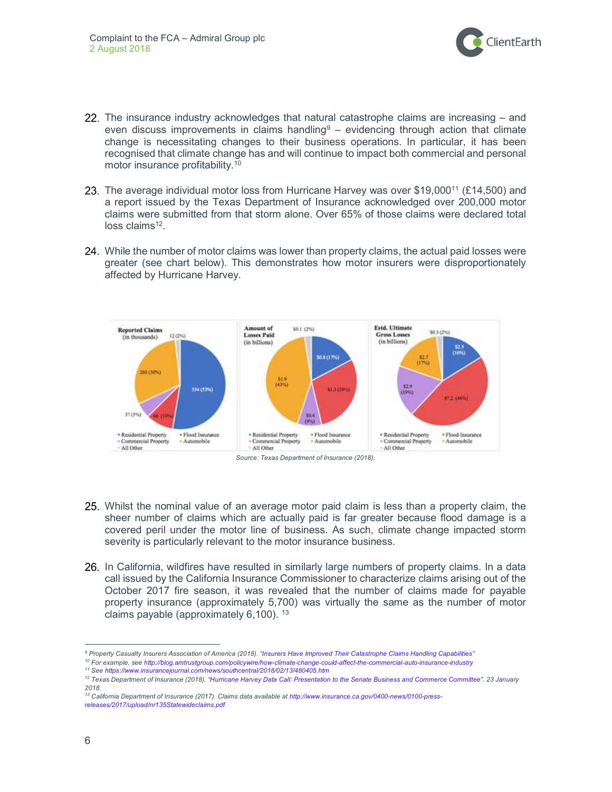

- 22. The insurance industry acknowledges that natural catastrophe claims are increasing and even discuss improvements in claims handling $9 -$  evidencing through action that climate change is necessitating changes to their business operations. In particular, it has been recognised that climate change has and will continue to impact both commercial and personal motor insurance profitability.<sup>10</sup>
- 23. The average individual motor loss from Hurricane Harvey was over \$19,000<sup>11</sup> (£14,500) and a report issued by the Texas Department of Insurance acknowledged over 200,000 motor claims were submitted from that storm alone. Over 65% of those claims were declared total loss claims<sup>12</sup>.
- 24. While the number of motor claims was lower than property claims, the actual paid losses were greater (see chart below). This demonstrates how motor insurers were disproportionately affected by Hurricane Harvey.





- 25. Whilst the nominal value of an average motor paid claim is less than a property claim, the sheer number of claims which are actually paid is far greater because flood damage is a covered peril under the motor line of business. As such, climate change impacted storm severity is particularly relevant to the motor insurance business.
- 26. In California, wildfires have resulted in similarly large numbers of property claims. In a data call issued by the California Insurance Commissioner to characterize claims arising out of the October 2017 fire season, it was revealed that the number of claims made for payable property insurance (approximately 5,700) was virtually the same as the number of motor claims payable (approximately  $6,100$ ).  $13$

<sup>11</sup> See https://www.insurancejournal.com/news/southcentral/2018/02/13/480405.htm

<sup>&</sup>lt;sup>9</sup> Property Casualty Insurers Association of America (2018). "Insurers Have Improved Their Catastrophe Claims Handling Capabilities"

<sup>10</sup> For example, see http://blog.amtrustgroup.com/policywire/how-climate-change-could-affect-the-commercial-auto-insurance-industry

<sup>&</sup>lt;sup>12</sup> Texas Department of Insurance (2018). "Hurricane Harvey Data Call: Presentation to the Senate Business and Commerce Committee". 23 January 2018.

<sup>13</sup> California Department of Insurance (2017). Claims data available at http://www.insurance.ca.gov/0400-news/0100-pressreleases/2017/upload/nr135Statewideclaims.pdf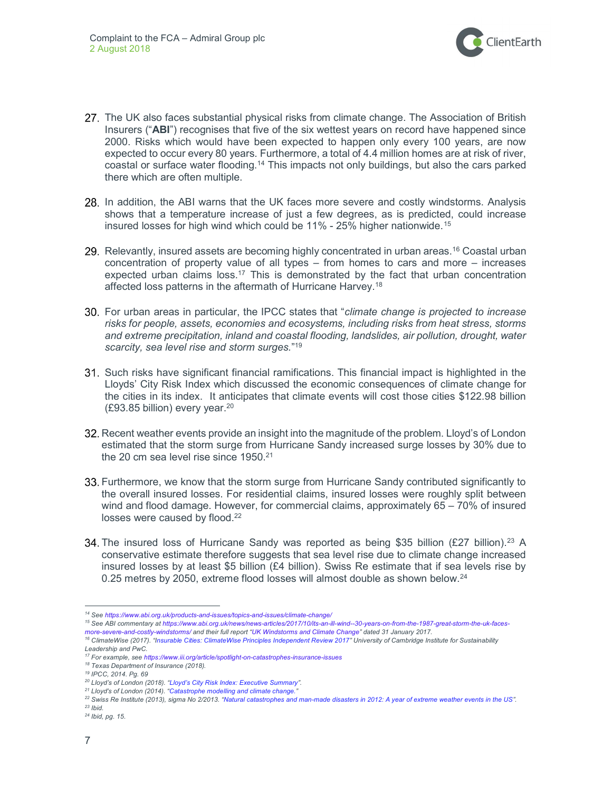

- 27. The UK also faces substantial physical risks from climate change. The Association of British Insurers ("ABI") recognises that five of the six wettest years on record have happened since 2000. Risks which would have been expected to happen only every 100 years, are now expected to occur every 80 years. Furthermore, a total of 4.4 million homes are at risk of river, coastal or surface water flooding.<sup>14</sup> This impacts not only buildings, but also the cars parked there which are often multiple.
- 28. In addition, the ABI warns that the UK faces more severe and costly windstorms. Analysis shows that a temperature increase of just a few degrees, as is predicted, could increase insured losses for high wind which could be 11% - 25% higher nationwide.<sup>15</sup>
- 29. Relevantly, insured assets are becoming highly concentrated in urban areas.<sup>16</sup> Coastal urban concentration of property value of all types – from homes to cars and more – increases expected urban claims loss.<sup>17</sup> This is demonstrated by the fact that urban concentration affected loss patterns in the aftermath of Hurricane Harvey.<sup>18</sup>
- 30. For urban areas in particular, the IPCC states that "*climate change is projected to increase* risks for people, assets, economies and ecosystems, including risks from heat stress, storms and extreme precipitation, inland and coastal flooding, landslides, air pollution, drought, water scarcity, sea level rise and storm surges."<sup>19</sup>
- Such risks have significant financial ramifications. This financial impact is highlighted in the Lloyds' City Risk Index which discussed the economic consequences of climate change for the cities in its index. It anticipates that climate events will cost those cities \$122.98 billion (£93.85 billion) every year.<sup>20</sup>
- 32. Recent weather events provide an insight into the magnitude of the problem. Lloyd's of London estimated that the storm surge from Hurricane Sandy increased surge losses by 30% due to the 20 cm sea level rise since 1950.<sup>21</sup>
- 33. Furthermore, we know that the storm surge from Hurricane Sandy contributed significantly to the overall insured losses. For residential claims, insured losses were roughly split between wind and flood damage. However, for commercial claims, approximately 65 – 70% of insured losses were caused by flood.<sup>22</sup>
- 34. The insured loss of Hurricane Sandy was reported as being \$35 billion (£27 billion).<sup>23</sup> A conservative estimate therefore suggests that sea level rise due to climate change increased insured losses by at least \$5 billion (£4 billion). Swiss Re estimate that if sea levels rise by 0.25 metres by 2050, extreme flood losses will almost double as shown below.<sup>24</sup>

- 15 See ABI commentary at https://www.abi.org.uk/news/news-articles/2017/10/its-an-ill-wind--30-years-on-from-the-1987-great-storm-the-uk-faces-
- more-severe-and-costly-windstorms/ and their full report "UK Windstorms and Climate Change" dated 31 January 2017.

<sup>14</sup> See https://www.abi.org.uk/products-and-issues/topics-and-issues/climate-change/

<sup>&</sup>lt;sup>16</sup> ClimateWise (2017). "Insurable Cities: ClimateWise Principles Independent Review 2017" University of Cambridge Institute for Sustainability Leadership and PwC.

<sup>17</sup> For example, see https://www.iii.org/article/spotlight-on-catastrophes-insurance-issues

<sup>&</sup>lt;sup>18</sup> Texas Department of Insurance (2018).

<sup>19</sup> IPCC, 2014. Pg. 69

<sup>&</sup>lt;sup>20</sup> Lloyd's of London (2018). "Lloyd's City Risk Index: Executive Summary".

 $21$  Lloyd's of London (2014). "Catastrophe modelling and climate change.

<sup>&</sup>lt;sup>22</sup> Swiss Re Institute (2013), sigma No 2/2013. "Natural catastrophes and man-made disasters in 2012: A year of extreme weather events in the US".

 $23$  Ihid.

<sup>24</sup> Ibid, pg. 15.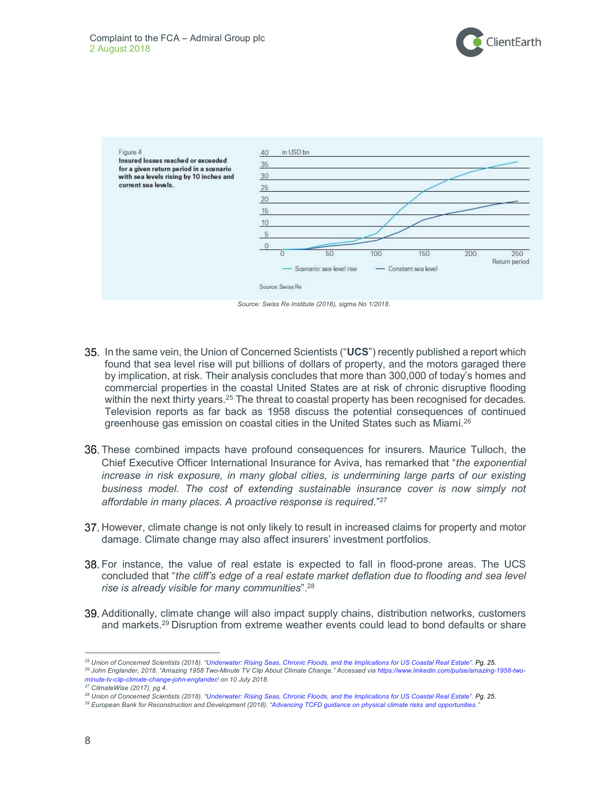



Source: Swiss Re Institute (2018), sigma No 1/2018.

- 35. In the same vein, the Union of Concerned Scientists ("UCS") recently published a report which found that sea level rise will put billions of dollars of property, and the motors garaged there by implication, at risk. Their analysis concludes that more than 300,000 of today's homes and commercial properties in the coastal United States are at risk of chronic disruptive flooding within the next thirty years.<sup>25</sup> The threat to coastal property has been recognised for decades. Television reports as far back as 1958 discuss the potential consequences of continued greenhouse gas emission on coastal cities in the United States such as Miami.<sup>26</sup>
- These combined impacts have profound consequences for insurers. Maurice Tulloch, the Chief Executive Officer International Insurance for Aviva, has remarked that "the exponential increase in risk exposure, in many global cities, is undermining large parts of our existing business model. The cost of extending sustainable insurance cover is now simply not affordable in many places. A proactive response is required."<sup>27</sup>
- 37. However, climate change is not only likely to result in increased claims for property and motor damage. Climate change may also affect insurers' investment portfolios.
- For instance, the value of real estate is expected to fall in flood-prone areas. The UCS concluded that "the cliff's edge of a real estate market deflation due to flooding and sea level rise is already visible for many communities".<sup>28</sup>
- Additionally, climate change will also impact supply chains, distribution networks, customers and markets.<sup>29</sup> Disruption from extreme weather events could lead to bond defaults or share

<sup>&</sup>lt;sup>25</sup> Union of Concerned Scientists (2018). "Underwater: Rising Seas, Chronic Floods, and the Implications for US Coastal Real Estate". Pg. 25.

<sup>26</sup> John Englander, 2018. "Amazing 1958 Two-Minute TV Clip About Climate Change." Accessed via https://www.linkedin.com/pulse/amazing-1958-twominute-tv-clip-climate-change-john-englander/ on 10 July 2018.

<sup>27</sup> ClimateWise (2017), pg 4.

<sup>&</sup>lt;sup>28</sup> Union of Concerned Scientists (2018). "Underwater: Rising Seas, Chronic Floods, and the Implications for US Coastal Real Estate". Pg. 25.

<sup>&</sup>lt;sup>29</sup> European Bank for Reconstruction and Development (2018). "Advancing TCFD guidance on physical climate risks and opportunities.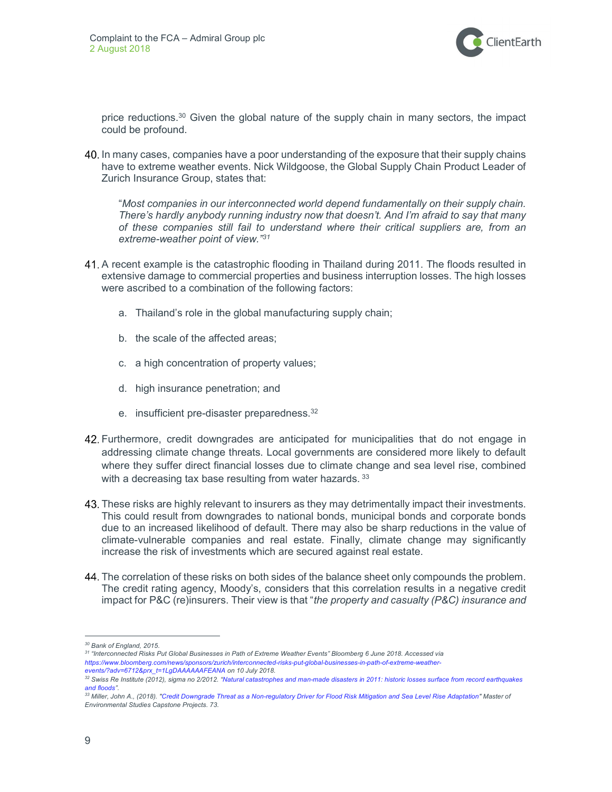

price reductions.<sup>30</sup> Given the global nature of the supply chain in many sectors, the impact could be profound.

40. In many cases, companies have a poor understanding of the exposure that their supply chains have to extreme weather events. Nick Wildgoose, the Global Supply Chain Product Leader of Zurich Insurance Group, states that:

"Most companies in our interconnected world depend fundamentally on their supply chain. There's hardly anybody running industry now that doesn't. And I'm afraid to say that many of these companies still fail to understand where their critical suppliers are, from an extreme-weather point of view."31

- A recent example is the catastrophic flooding in Thailand during 2011. The floods resulted in extensive damage to commercial properties and business interruption losses. The high losses were ascribed to a combination of the following factors:
	- a. Thailand's role in the global manufacturing supply chain;
	- b. the scale of the affected areas;
	- c. a high concentration of property values;
	- d. high insurance penetration; and
	- e. insufficient pre-disaster preparedness.<sup>32</sup>
- Furthermore, credit downgrades are anticipated for municipalities that do not engage in addressing climate change threats. Local governments are considered more likely to default where they suffer direct financial losses due to climate change and sea level rise, combined with a decreasing tax base resulting from water hazards. 33
- 43. These risks are highly relevant to insurers as they may detrimentally impact their investments. This could result from downgrades to national bonds, municipal bonds and corporate bonds due to an increased likelihood of default. There may also be sharp reductions in the value of climate-vulnerable companies and real estate. Finally, climate change may significantly increase the risk of investments which are secured against real estate.
- 44. The correlation of these risks on both sides of the balance sheet only compounds the problem. The credit rating agency, Moody's, considers that this correlation results in a negative credit impact for P&C (re)insurers. Their view is that "the property and casualty (P&C) insurance and

<sup>30</sup> Bank of England, 2015.

<sup>31</sup> "Interconnected Risks Put Global Businesses in Path of Extreme Weather Events" Bloomberg 6 June 2018. Accessed via https://www.bloomberg.com/news/sponsors/zurich/interconnected-risks-put-global-businesses-in-path-of-extreme-weatherevents/?adv=6712&prx\_t=1LgDAAAAAAFEANA on 10 July 2018.

 $32$  Swiss Re Institute (2012), sigma no 2/2012. "Natural catastrophes and man-made disasters in 2011: historic losses surface from record earthquakes and floods".

<sup>33</sup> Miller, John A., (2018). "Credit Downgrade Threat as a Non-regulatory Driver for Flood Risk Mitigation and Sea Level Rise Adaptation" Master of Environmental Studies Capstone Projects. 73.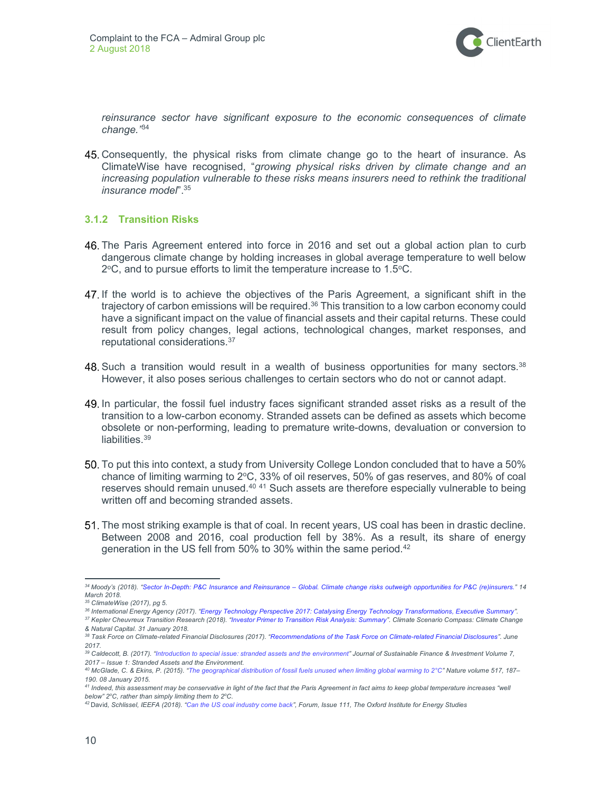

reinsurance sector have significant exposure to the economic consequences of climate change."34

Consequently, the physical risks from climate change go to the heart of insurance. As ClimateWise have recognised, "growing physical risks driven by climate change and an increasing population vulnerable to these risks means insurers need to rethink the traditional insurance model".<sup>35</sup>

#### 3.1.2 Transition Risks

- The Paris Agreement entered into force in 2016 and set out a global action plan to curb dangerous climate change by holding increases in global average temperature to well below  $2^{\circ}$ C, and to pursue efforts to limit the temperature increase to 1.5 $^{\circ}$ C.
- If the world is to achieve the objectives of the Paris Agreement, a significant shift in the trajectory of carbon emissions will be required.<sup>36</sup> This transition to a low carbon economy could have a significant impact on the value of financial assets and their capital returns. These could result from policy changes, legal actions, technological changes, market responses, and reputational considerations.<sup>37</sup>
- 48. Such a transition would result in a wealth of business opportunities for many sectors.<sup>38</sup> However, it also poses serious challenges to certain sectors who do not or cannot adapt.
- In particular, the fossil fuel industry faces significant stranded asset risks as a result of the transition to a low-carbon economy. Stranded assets can be defined as assets which become obsolete or non-performing, leading to premature write-downs, devaluation or conversion to liabilities.<sup>39</sup>
- To put this into context, a study from University College London concluded that to have a 50% chance of limiting warming to  $2^{\circ}$ C, 33% of oil reserves, 50% of gas reserves, and 80% of coal reserves should remain unused.<sup>40 41</sup> Such assets are therefore especially vulnerable to being written off and becoming stranded assets.
- The most striking example is that of coal. In recent years, US coal has been in drastic decline. Between 2008 and 2016, coal production fell by 38%. As a result, its share of energy generation in the US fell from 50% to 30% within the same period.<sup>42</sup>

 $\overline{a}$ <sup>34</sup>Moody's (2018). "Sector In-Depth: P&C Insurance and Reinsurance – Global. Climate change risks outweigh opportunities for P&C (re)insurers." 14 March 2018.

<sup>35</sup> ClimateWise (2017), pg 5.

<sup>36</sup> International Energy Agency (2017). "Energy Technology Perspective 2017: Catalysing Energy Technology Transformations, Executive Summary".

<sup>37</sup> Kepler Cheuvreux Transition Research (2018). "Investor Primer to Transition Risk Analysis: Summary". Climate Scenario Compass: Climate Change & Natural Capital. 31 January 2018.

<sup>38</sup> Task Force on Climate-related Financial Disclosures (2017). "Recommendations of the Task Force on Climate-related Financial Disclosures". June 2017.

<sup>&</sup>lt;sup>39</sup> Caldecott, B. (2017). "Introduction to special issue: stranded assets and the environment" Journal of Sustainable Finance & Investment Volume 7, 2017 – Issue 1: Stranded Assets and the Environment.

<sup>40</sup> McGlade, C. & Ekins, P. (2015). "The geographical distribution of fossil fuels unused when limiting global warming to 2°C" Nature volume 517, 187– 190. 08 January 2015.

<sup>41</sup> Indeed, this assessment may be conservative in light of the fact that the Paris Agreement in fact aims to keep global temperature increases "well below"  $2^{\circ}$ C, rather than simply limiting them to  $2^{\circ}$ C.

<sup>42</sup> David, Schlissel, IEEFA (2018). "Can the US coal industry come back", Forum, Issue 111, The Oxford Institute for Energy Studies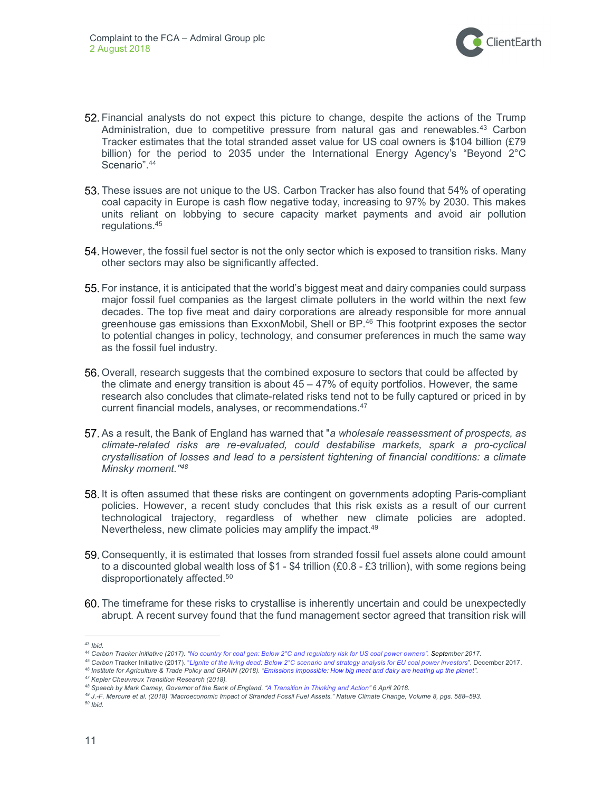

- Financial analysts do not expect this picture to change, despite the actions of the Trump Administration, due to competitive pressure from natural gas and renewables.<sup>43</sup> Carbon Tracker estimates that the total stranded asset value for US coal owners is \$104 billion (£79 billion) for the period to 2035 under the International Energy Agency's "Beyond 2°C Scenario".<sup>44</sup>
- 53. These issues are not unique to the US. Carbon Tracker has also found that 54% of operating coal capacity in Europe is cash flow negative today, increasing to 97% by 2030. This makes units reliant on lobbying to secure capacity market payments and avoid air pollution regulations.<sup>45</sup>
- 54. However, the fossil fuel sector is not the only sector which is exposed to transition risks. Many other sectors may also be significantly affected.
- For instance, it is anticipated that the world's biggest meat and dairy companies could surpass major fossil fuel companies as the largest climate polluters in the world within the next few decades. The top five meat and dairy corporations are already responsible for more annual greenhouse gas emissions than ExxonMobil, Shell or BP.<sup>46</sup> This footprint exposes the sector to potential changes in policy, technology, and consumer preferences in much the same way as the fossil fuel industry.
- 56. Overall, research suggests that the combined exposure to sectors that could be affected by the climate and energy transition is about 45 – 47% of equity portfolios. However, the same research also concludes that climate-related risks tend not to be fully captured or priced in by current financial models, analyses, or recommendations.<sup>47</sup>
- 57. As a result, the Bank of England has warned that "a wholesale reassessment of prospects, as climate-related risks are re-evaluated, could destabilise markets, spark a pro-cyclical crystallisation of losses and lead to a persistent tightening of financial conditions: a climate Minsky moment."<sup>48</sup>
- 58. It is often assumed that these risks are contingent on governments adopting Paris-compliant policies. However, a recent study concludes that this risk exists as a result of our current technological trajectory, regardless of whether new climate policies are adopted. Nevertheless, new climate policies may amplify the impact.<sup>49</sup>
- Consequently, it is estimated that losses from stranded fossil fuel assets alone could amount to a discounted global wealth loss of  $$1 - $4$  trillion (£0.8 - £3 trillion), with some regions being disproportionately affected.<sup>50</sup>
- The timeframe for these risks to crystallise is inherently uncertain and could be unexpectedly abrupt. A recent survey found that the fund management sector agreed that transition risk will

50 Ibid.

 $\overline{a}$ <sup>43</sup> Ibid.

<sup>44</sup> Carbon Tracker Initiative (2017). "No country for coal gen: Below 2°C and regulatory risk for US coal power owners". September 2017.

<sup>45</sup> Carbon Tracker Initiative (2017). "Lignite of the living dead: Below 2°C scenario and strategy analysis for EU coal power investors". December 2017. <sup>46</sup> Institute for Agriculture & Trade Policy and GRAIN (2018). "Emissions impossible: How big meat and dairy are heating up the planet".

<sup>47</sup> Kepler Cheuvreux Transition Research (2018).

<sup>48</sup> Speech by Mark Carney, Governor of the Bank of England. "A Transition in Thinking and Action" 6 April 2018.

<sup>49</sup> J.-F. Mercure et al. (2018) "Macroeconomic Impact of Stranded Fossil Fuel Assets." Nature Climate Change, Volume 8, pgs. 588–593.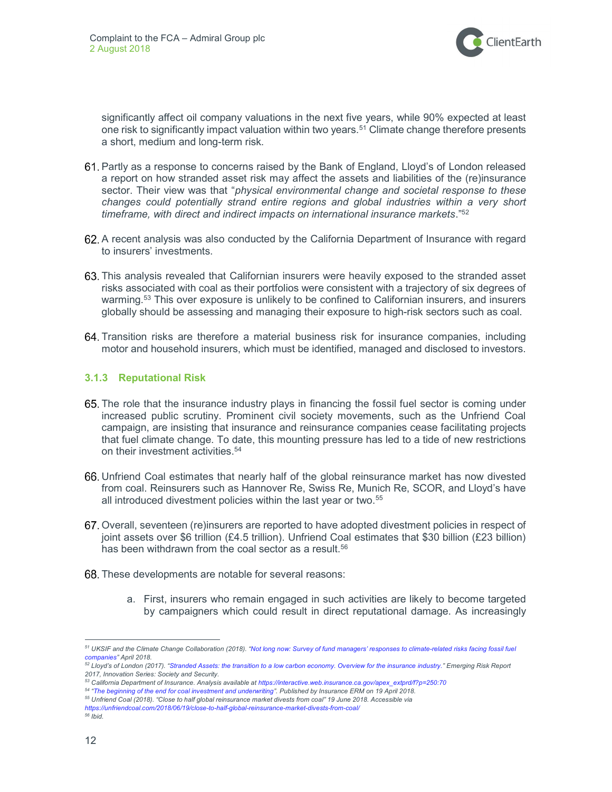

significantly affect oil company valuations in the next five years, while 90% expected at least one risk to significantly impact valuation within two years.<sup>51</sup> Climate change therefore presents a short, medium and long-term risk.

- Partly as a response to concerns raised by the Bank of England, Lloyd's of London released a report on how stranded asset risk may affect the assets and liabilities of the (re)insurance sector. Their view was that "physical environmental change and societal response to these changes could potentially strand entire regions and global industries within a very short timeframe, with direct and indirect impacts on international insurance markets."<sup>52</sup>
- A recent analysis was also conducted by the California Department of Insurance with regard to insurers' investments.
- This analysis revealed that Californian insurers were heavily exposed to the stranded asset risks associated with coal as their portfolios were consistent with a trajectory of six degrees of warming.<sup>53</sup> This over exposure is unlikely to be confined to Californian insurers, and insurers globally should be assessing and managing their exposure to high-risk sectors such as coal.
- 64. Transition risks are therefore a material business risk for insurance companies, including motor and household insurers, which must be identified, managed and disclosed to investors.

#### 3.1.3 Reputational Risk

- The role that the insurance industry plays in financing the fossil fuel sector is coming under increased public scrutiny. Prominent civil society movements, such as the Unfriend Coal campaign, are insisting that insurance and reinsurance companies cease facilitating projects that fuel climate change. To date, this mounting pressure has led to a tide of new restrictions on their investment activities.<sup>54</sup>
- Unfriend Coal estimates that nearly half of the global reinsurance market has now divested from coal. Reinsurers such as Hannover Re, Swiss Re, Munich Re, SCOR, and Lloyd's have all introduced divestment policies within the last year or two.<sup>55</sup>
- Overall, seventeen (re)insurers are reported to have adopted divestment policies in respect of joint assets over \$6 trillion (£4.5 trillion). Unfriend Coal estimates that \$30 billion (£23 billion) has been withdrawn from the coal sector as a result.<sup>56</sup>
- 68. These developments are notable for several reasons:
	- a. First, insurers who remain engaged in such activities are likely to become targeted by campaigners which could result in direct reputational damage. As increasingly

<sup>&</sup>lt;sup>51</sup> UKSIF and the Climate Change Collaboration (2018). "Not long now: Survey of fund managers' responses to climate-related risks facing fossil fuel companies" April 2018.

<sup>&</sup>lt;sup>52</sup> Lloyd's of London (2017). "Stranded Assets: the transition to a low carbon economy. Overview for the insurance industry." Emerging Risk Report 2017, Innovation Series: Society and Security.

<sup>53</sup> California Department of Insurance. Analysis available at https://interactive.web.insurance.ca.gov/apex\_extprd/f?p=250:70

<sup>54</sup> "The beginning of the end for coal investment and underwriting". Published by Insurance ERM on 19 April 2018.

<sup>55</sup> Unfriend Coal (2018). "Close to half global reinsurance market divests from coal" 19 June 2018. Accessible via https://unfriendcoal.com/2018/06/19/close-to-half-global-reinsurance-market-divests-from-coal/

 $56$  Ibid.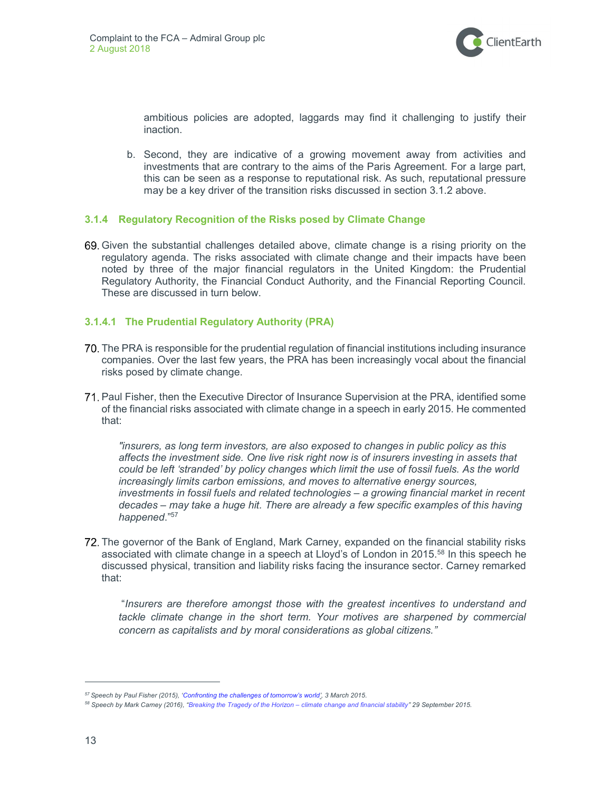

ambitious policies are adopted, laggards may find it challenging to justify their inaction.

b. Second, they are indicative of a growing movement away from activities and investments that are contrary to the aims of the Paris Agreement. For a large part, this can be seen as a response to reputational risk. As such, reputational pressure may be a key driver of the transition risks discussed in section 3.1.2 above.

#### 3.1.4 Regulatory Recognition of the Risks posed by Climate Change

Given the substantial challenges detailed above, climate change is a rising priority on the regulatory agenda. The risks associated with climate change and their impacts have been noted by three of the major financial regulators in the United Kingdom: the Prudential Regulatory Authority, the Financial Conduct Authority, and the Financial Reporting Council. These are discussed in turn below.

#### 3.1.4.1 The Prudential Regulatory Authority (PRA)

- The PRA is responsible for the prudential regulation of financial institutions including insurance companies. Over the last few years, the PRA has been increasingly vocal about the financial risks posed by climate change.
- Paul Fisher, then the Executive Director of Insurance Supervision at the PRA, identified some of the financial risks associated with climate change in a speech in early 2015. He commented that:

"insurers, as long term investors, are also exposed to changes in public policy as this affects the investment side. One live risk right now is of insurers investing in assets that could be left 'stranded' by policy changes which limit the use of fossil fuels. As the world increasingly limits carbon emissions, and moves to alternative energy sources, investments in fossil fuels and related technologies – a growing financial market in recent decades – may take a huge hit. There are already a few specific examples of this having happened."<sup>57</sup>

72. The governor of the Bank of England, Mark Carney, expanded on the financial stability risks associated with climate change in a speech at Lloyd's of London in 2015.<sup>58</sup> In this speech he discussed physical, transition and liability risks facing the insurance sector. Carney remarked that:

 "Insurers are therefore amongst those with the greatest incentives to understand and tackle climate change in the short term. Your motives are sharpened by commercial concern as capitalists and by moral considerations as global citizens."

<sup>&</sup>lt;sup>57</sup> Speech by Paul Fisher (2015), 'Confronting the challenges of tomorrow's world', 3 March 2015.

<sup>58</sup> Speech by Mark Carney (2016), "Breaking the Tragedy of the Horizon – climate change and financial stability" 29 September 2015.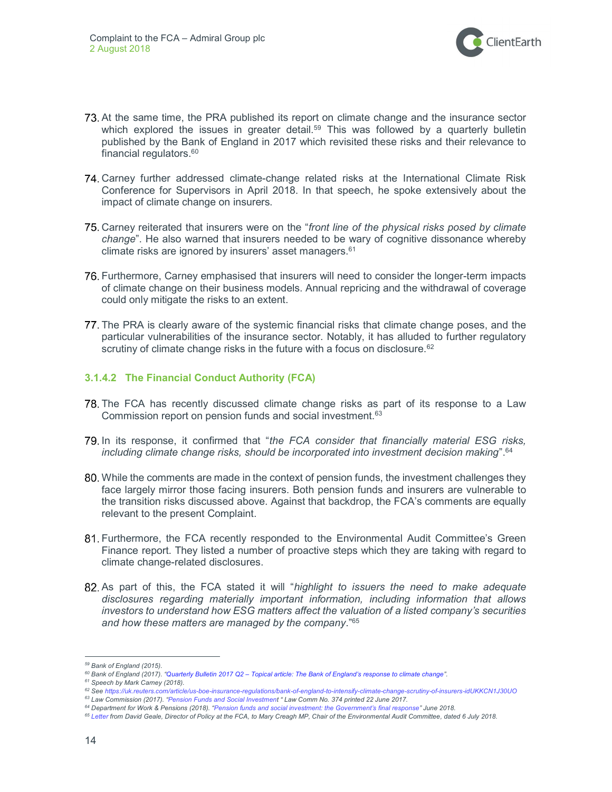

- At the same time, the PRA published its report on climate change and the insurance sector which explored the issues in greater detail.<sup>59</sup> This was followed by a quarterly bulletin published by the Bank of England in 2017 which revisited these risks and their relevance to financial regulators.<sup>60</sup>
- Carney further addressed climate-change related risks at the International Climate Risk Conference for Supervisors in April 2018. In that speech, he spoke extensively about the impact of climate change on insurers.
- 75. Carney reiterated that insurers were on the "front line of the physical risks posed by climate change". He also warned that insurers needed to be wary of cognitive dissonance whereby climate risks are ignored by insurers' asset managers.<sup>61</sup>
- Furthermore, Carney emphasised that insurers will need to consider the longer-term impacts of climate change on their business models. Annual repricing and the withdrawal of coverage could only mitigate the risks to an extent.
- The PRA is clearly aware of the systemic financial risks that climate change poses, and the particular vulnerabilities of the insurance sector. Notably, it has alluded to further regulatory scrutiny of climate change risks in the future with a focus on disclosure.<sup>62</sup>

#### 3.1.4.2 The Financial Conduct Authority (FCA)

- The FCA has recently discussed climate change risks as part of its response to a Law Commission report on pension funds and social investment.<sup>63</sup>
- 79. In its response, it confirmed that "the FCA consider that financially material ESG risks, including climate change risks, should be incorporated into investment decision making".<sup>64</sup>
- While the comments are made in the context of pension funds, the investment challenges they face largely mirror those facing insurers. Both pension funds and insurers are vulnerable to the transition risks discussed above. Against that backdrop, the FCA's comments are equally relevant to the present Complaint.
- Furthermore, the FCA recently responded to the Environmental Audit Committee's Green Finance report. They listed a number of proactive steps which they are taking with regard to climate change-related disclosures.
- 82. As part of this, the FCA stated it will "highlight to issuers the need to make adequate disclosures regarding materially important information, including information that allows investors to understand how ESG matters affect the valuation of a listed company's securities and how these matters are managed by the company.<sup>"65</sup>

<sup>64</sup> Department for Work & Pensions (2018). "Pension funds and social investment: the Government's final response" June 2018.

<sup>59</sup> Bank of England (2015).

<sup>60</sup> Bank of England (2017). "Quarterly Bulletin 2017 Q2 - Topical article: The Bank of England's response to climate change".

<sup>&</sup>lt;sup>61</sup> Speech by Mark Carney (2018).

<sup>62</sup> See https://uk.reuters.com/article/us-boe-insurance-regulations/bank-of-england-to-intensify-climate-change-scrutiny-of-insurers-idUKKCN1J30UO <sup>63</sup> Law Commission (2017). "Pension Funds and Social Investment " Law Comm No. 374 printed 22 June 2017.

<sup>&</sup>lt;sup>65</sup> Letter from David Geale, Director of Policy at the FCA, to Mary Creagh MP, Chair of the Environmental Audit Committee, dated 6 July 2018.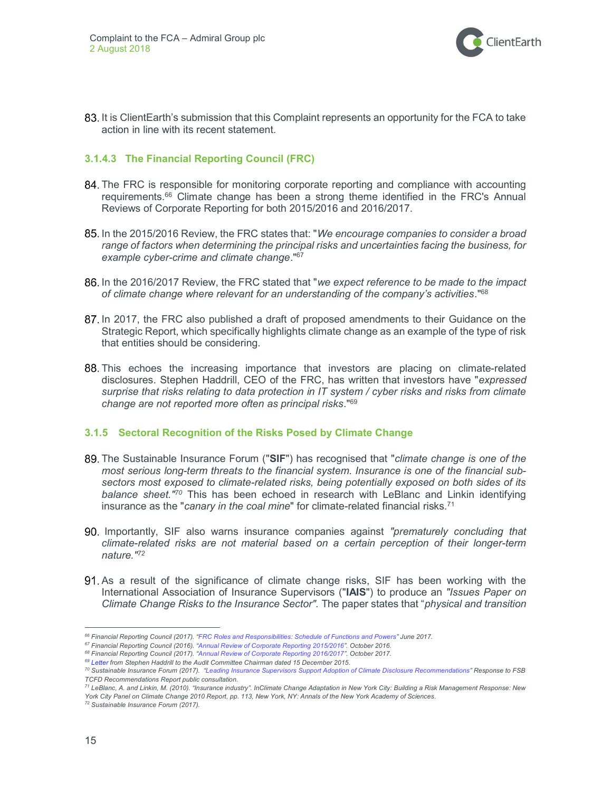

83. It is ClientEarth's submission that this Complaint represents an opportunity for the FCA to take action in line with its recent statement.

#### 3.1.4.3 The Financial Reporting Council (FRC)

- 84. The FRC is responsible for monitoring corporate reporting and compliance with accounting requirements.<sup>66</sup> Climate change has been a strong theme identified in the FRC's Annual Reviews of Corporate Reporting for both 2015/2016 and 2016/2017.
- 85. In the 2015/2016 Review, the FRC states that: "We encourage companies to consider a broad range of factors when determining the principal risks and uncertainties facing the business, for example cyber-crime and climate change."<sup>67</sup>
- 86. In the 2016/2017 Review, the FRC stated that "we expect reference to be made to the impact of climate change where relevant for an understanding of the company's activities." $^{68}$
- 87. In 2017, the FRC also published a draft of proposed amendments to their Guidance on the Strategic Report, which specifically highlights climate change as an example of the type of risk that entities should be considering.
- This echoes the increasing importance that investors are placing on climate-related disclosures. Stephen Haddrill, CEO of the FRC, has written that investors have "expressed surprise that risks relating to data protection in IT system / cyber risks and risks from climate change are not reported more often as principal risks."<sup>69</sup>

#### 3.1.5 Sectoral Recognition of the Risks Posed by Climate Change

- 89. The Sustainable Insurance Forum ("SIF") has recognised that "climate change is one of the most serious long-term threats to the financial system. Insurance is one of the financial subsectors most exposed to climate-related risks, being potentially exposed on both sides of its balance sheet.<sup>"70</sup> This has been echoed in research with LeBlanc and Linkin identifying insurance as the "canary in the coal mine" for climate-related financial risks.<sup>71</sup>
- 90. Importantly, SIF also warns insurance companies against "prematurely concluding that climate-related risks are not material based on a certain perception of their longer-term nature."<sup>72</sup>
- As a result of the significance of climate change risks, SIF has been working with the International Association of Insurance Supervisors ("IAIS") to produce an "Issues Paper on Climate Change Risks to the Insurance Sector". The paper states that "physical and transition

<sup>66</sup> Financial Reporting Council (2017). "FRC Roles and Responsibilities: Schedule of Functions and Powers" June 2017.

<sup>&</sup>lt;sup>67</sup> Financial Reporting Council (2016). "Annual Review of Corporate Reporting 2015/2016". October 2016.

<sup>&</sup>lt;sup>68</sup> Financial Reporting Council (2017). "Annual Review of Corporate Reporting 2016/2017". October 2017.

<sup>&</sup>lt;sup>69</sup> Letter from Stephen Haddrill to the Audit Committee Chairman dated 15 December 2015.

<sup>70</sup> Sustainable Insurance Forum (2017). "Leading Insurance Supervisors Support Adoption of Climate Disclosure Recommendations" Response to FSB TCFD Recommendations Report public consultation.

<sup>71</sup> LeBlanc, A. and Linkin, M. (2010). "Insurance industry". InClimate Change Adaptation in New York City: Building a Risk Management Response: New York City Panel on Climate Change 2010 Report, pp. 113, New York, NY: Annals of the New York Academy of Sciences.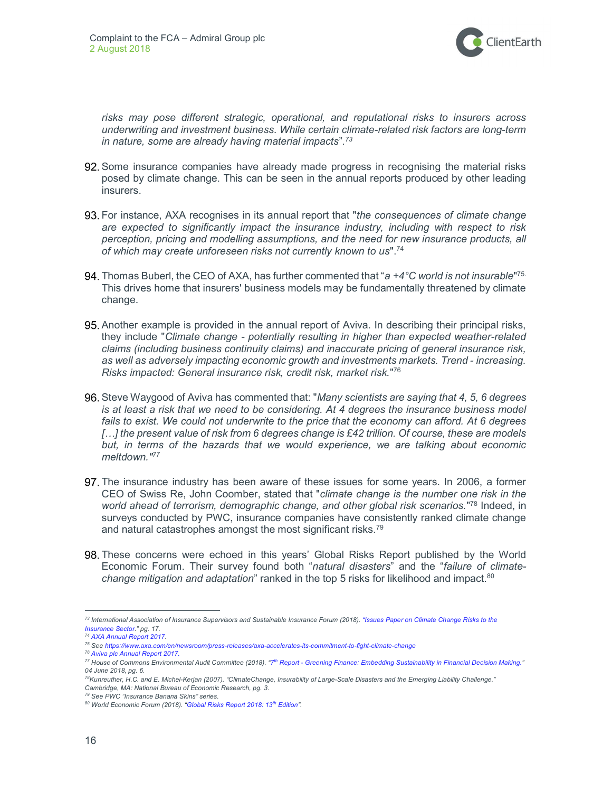

risks may pose different strategic, operational, and reputational risks to insurers across underwriting and investment business. While certain climate-related risk factors are long-term in nature, some are already having material impacts".<sup>73</sup>

- 92. Some insurance companies have already made progress in recognising the material risks posed by climate change. This can be seen in the annual reports produced by other leading insurers.
- 93. For instance, AXA recognises in its annual report that "the consequences of climate change are expected to significantly impact the insurance industry, including with respect to risk perception, pricing and modelling assumptions, and the need for new insurance products, all of which may create unforeseen risks not currently known to us".<sup>74</sup>
- Thomas Buberl, the CEO of AXA, has further commented that "a +4 $^{\circ}$ C world is not insurable"<sup>75.</sup> This drives home that insurers' business models may be fundamentally threatened by climate change.
- 95. Another example is provided in the annual report of Aviva. In describing their principal risks, they include "Climate change - potentially resulting in higher than expected weather-related claims (including business continuity claims) and inaccurate pricing of general insurance risk, as well as adversely impacting economic growth and investments markets. Trend - increasing. Risks impacted: General insurance risk, credit risk, market risk." 76
- 96. Steve Waygood of Aviva has commented that: "Many scientists are saying that 4, 5, 6 degrees is at least a risk that we need to be considering. At 4 degrees the insurance business model fails to exist. We could not underwrite to the price that the economy can afford. At 6 degrees [...] the present value of risk from 6 degrees change is £42 trillion. Of course, these are models but, in terms of the hazards that we would experience, we are talking about economic meltdown."<sup>77</sup>
- 97. The insurance industry has been aware of these issues for some years. In 2006, a former CEO of Swiss Re, John Coomber, stated that "climate change is the number one risk in the world ahead of terrorism, demographic change, and other global risk scenarios."<sup>78</sup> Indeed, in surveys conducted by PWC, insurance companies have consistently ranked climate change and natural catastrophes amongst the most significant risks.<sup>79</sup>
- These concerns were echoed in this years' Global Risks Report published by the World Economic Forum. Their survey found both "natural disasters" and the "failure of climatechange mitigation and adaptation" ranked in the top 5 risks for likelihood and impact. $80$

<sup>73</sup> International Association of Insurance Supervisors and Sustainable Insurance Forum (2018). "Issues Paper on Climate Change Risks to the Insurance Sector." pg. 17.

<sup>74</sup> AXA Annual Report 2017.

<sup>75</sup> See https://www.axa.com/en/newsroom/press-releases/axa-accelerates-its-commitment-to-fight-climate-change

<sup>76</sup> Aviva plc Annual Report 2017.

<sup>&</sup>lt;sup>77</sup> House of Commons Environmental Audit Committee (2018). "7<sup>th</sup> Report - Greening Finance: Embedding Sustainability in Financial Decision Making." 04 June 2018, pg. 6.

<sup>&</sup>lt;sup>78</sup>Kunreuther, H.C. and E. Michel-Kerjan (2007). "ClimateChange, Insurability of Large-Scale Disasters and the Emerging Liability Challenge." Cambridge, MA: National Bureau of Economic Research, pg. 3.

<sup>79</sup> See PWC "Insurance Banana Skins" series.

<sup>80</sup> World Economic Forum (2018). "Global Risks Report 2018: 13th Edition".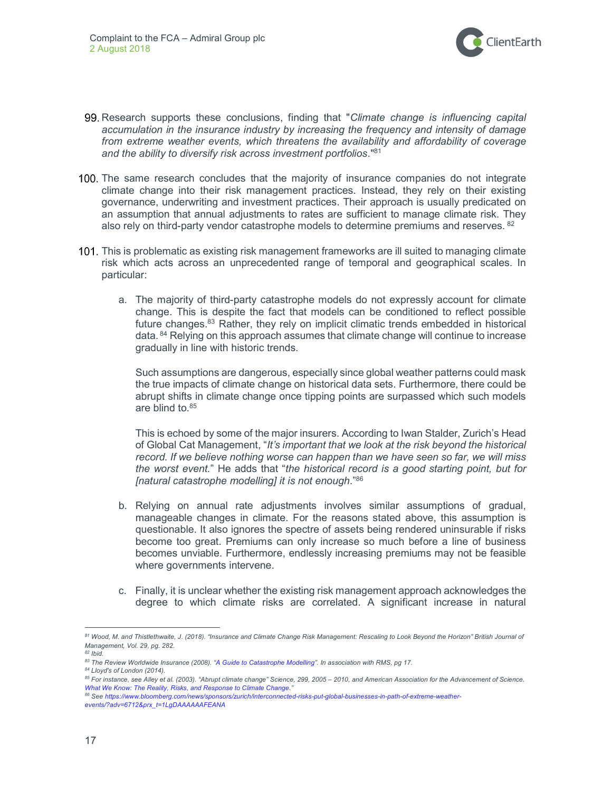

- 99. Research supports these conclusions, finding that "Climate change is influencing capital accumulation in the insurance industry by increasing the frequency and intensity of damage from extreme weather events, which threatens the availability and affordability of coverage and the ability to diversify risk across investment portfolios."<sup>81</sup>
- 100. The same research concludes that the majority of insurance companies do not integrate climate change into their risk management practices. Instead, they rely on their existing governance, underwriting and investment practices. Their approach is usually predicated on an assumption that annual adjustments to rates are sufficient to manage climate risk. They also rely on third-party vendor catastrophe models to determine premiums and reserves. 82
- 101. This is problematic as existing risk management frameworks are ill suited to managing climate risk which acts across an unprecedented range of temporal and geographical scales. In particular:
	- a. The majority of third-party catastrophe models do not expressly account for climate change. This is despite the fact that models can be conditioned to reflect possible future changes.<sup>83</sup> Rather, they rely on implicit climatic trends embedded in historical data.  $84$  Relying on this approach assumes that climate change will continue to increase gradually in line with historic trends.

Such assumptions are dangerous, especially since global weather patterns could mask the true impacts of climate change on historical data sets. Furthermore, there could be abrupt shifts in climate change once tipping points are surpassed which such models are blind to.<sup>85</sup>

This is echoed by some of the major insurers. According to Iwan Stalder, Zurich's Head of Global Cat Management, "It's important that we look at the risk beyond the historical record. If we believe nothing worse can happen than we have seen so far, we will miss the worst event." He adds that "the historical record is a good starting point, but for [natural catastrophe modelling] it is not enough."<sup>86</sup>

- b. Relying on annual rate adjustments involves similar assumptions of gradual, manageable changes in climate. For the reasons stated above, this assumption is questionable. It also ignores the spectre of assets being rendered uninsurable if risks become too great. Premiums can only increase so much before a line of business becomes unviable. Furthermore, endlessly increasing premiums may not be feasible where governments intervene.
- c. Finally, it is unclear whether the existing risk management approach acknowledges the degree to which climate risks are correlated. A significant increase in natural

 $\overline{a}$ 

84 Lloyd's of London (2014).

<sup>81</sup> Wood, M. and Thistlethwaite, J. (2018). "Insurance and Climate Change Risk Management: Rescaling to Look Beyond the Horizon" British Journal of Management, Vol. 29, pg. 282.

 $82$  Ibid.

<sup>83</sup> The Review Worldwide Insurance (2008). "A Guide to Catastrophe Modelling". In association with RMS, pg 17.

<sup>85</sup> For instance, see Alley et al. (2003). "Abrupt climate change" Science, 299, 2005 - 2010, and American Association for the Advancement of Science. What We Know: The Reality, Risks, and Response to Climate Change.'

<sup>86</sup> See https://www.bloomberg.com/news/sponsors/zurich/interconnected-risks-put-global-businesses-in-path-of-extreme-weatherevents/?adv=6712&prx\_t=1LgDAAAAAAFEANA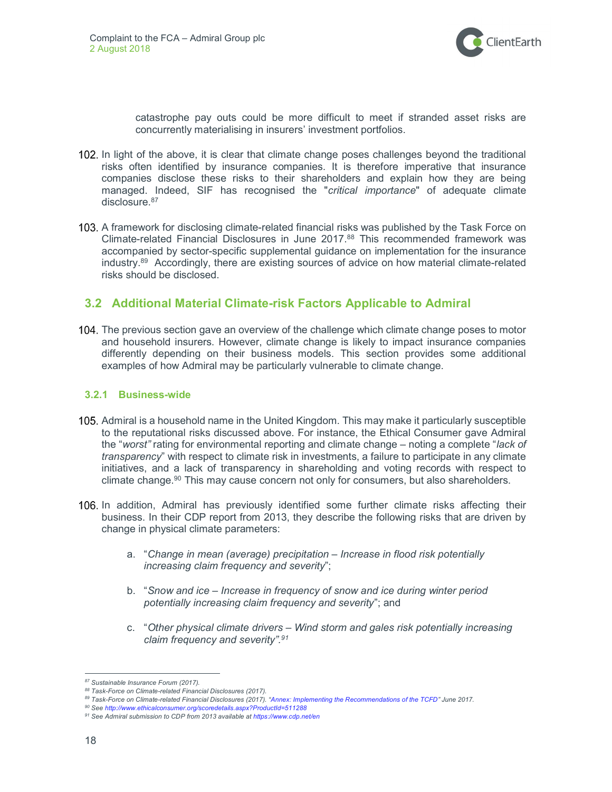

catastrophe pay outs could be more difficult to meet if stranded asset risks are concurrently materialising in insurers' investment portfolios.

- 102. In light of the above, it is clear that climate change poses challenges beyond the traditional risks often identified by insurance companies. It is therefore imperative that insurance companies disclose these risks to their shareholders and explain how they are being managed. Indeed, SIF has recognised the "critical importance" of adequate climate disclosure.<sup>87</sup>
- 103. A framework for disclosing climate-related financial risks was published by the Task Force on Climate-related Financial Disclosures in June 2017.<sup>88</sup> This recommended framework was accompanied by sector-specific supplemental guidance on implementation for the insurance industry.<sup>89</sup> Accordingly, there are existing sources of advice on how material climate-related risks should be disclosed.

### 3.2 Additional Material Climate-risk Factors Applicable to Admiral

104. The previous section gave an overview of the challenge which climate change poses to motor and household insurers. However, climate change is likely to impact insurance companies differently depending on their business models. This section provides some additional examples of how Admiral may be particularly vulnerable to climate change.

#### 3.2.1 Business-wide

- 105. Admiral is a household name in the United Kingdom. This may make it particularly susceptible to the reputational risks discussed above. For instance, the Ethical Consumer gave Admiral the "worst" rating for environmental reporting and climate change – noting a complete "lack of transparency" with respect to climate risk in investments, a failure to participate in any climate initiatives, and a lack of transparency in shareholding and voting records with respect to climate change.<sup>90</sup> This may cause concern not only for consumers, but also shareholders.
- 106. In addition, Admiral has previously identified some further climate risks affecting their business. In their CDP report from 2013, they describe the following risks that are driven by change in physical climate parameters:
	- a. "Change in mean (average) precipitation Increase in flood risk potentially increasing claim frequency and severity";
	- b. "Snow and ice Increase in frequency of snow and ice during winter period potentially increasing claim frequency and severity"; and
	- c. "Other physical climate drivers Wind storm and gales risk potentially increasing claim frequency and severity".<sup>91</sup>

<sup>87</sup> Sustainable Insurance Forum (2017).

<sup>88</sup> Task-Force on Climate-related Financial Disclosures (2017).

<sup>89</sup> Task-Force on Climate-related Financial Disclosures (2017). "Annex: Implementing the Recommendations of the TCFD" June 2017.

<sup>90</sup> See http://www.ethicalconsumer.org/scoredetails.aspx?ProductId=511288

<sup>91</sup> See Admiral submission to CDP from 2013 available at https://www.cdp.net/en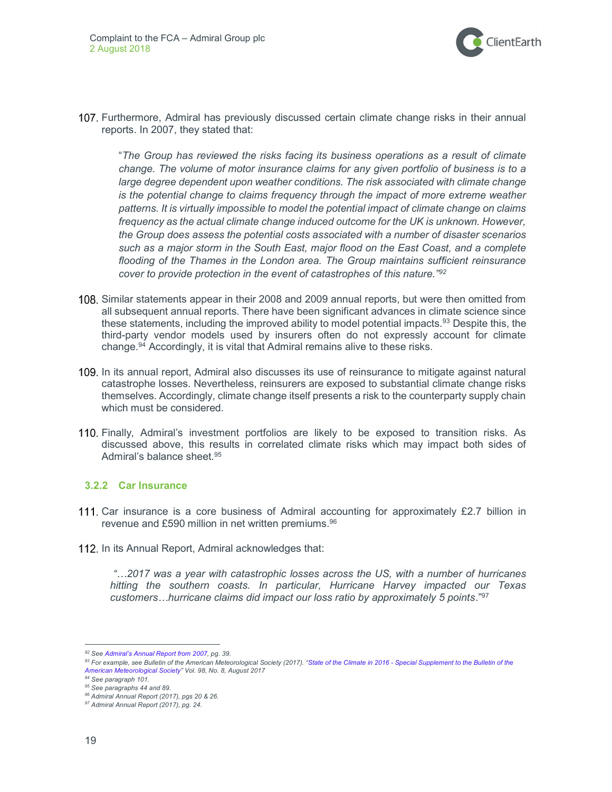

107. Furthermore, Admiral has previously discussed certain climate change risks in their annual reports. In 2007, they stated that:

"The Group has reviewed the risks facing its business operations as a result of climate change. The volume of motor insurance claims for any given portfolio of business is to a large degree dependent upon weather conditions. The risk associated with climate change is the potential change to claims frequency through the impact of more extreme weather patterns. It is virtually impossible to model the potential impact of climate change on claims frequency as the actual climate change induced outcome for the UK is unknown. However, the Group does assess the potential costs associated with a number of disaster scenarios such as a major storm in the South East, major flood on the East Coast, and a complete flooding of the Thames in the London area. The Group maintains sufficient reinsurance cover to provide protection in the event of catastrophes of this nature."<sup>92</sup>

- 108. Similar statements appear in their 2008 and 2009 annual reports, but were then omitted from all subsequent annual reports. There have been significant advances in climate science since these statements, including the improved ability to model potential impacts.<sup>93</sup> Despite this, the third-party vendor models used by insurers often do not expressly account for climate change. $94$  Accordingly, it is vital that Admiral remains alive to these risks.
- 109. In its annual report, Admiral also discusses its use of reinsurance to mitigate against natural catastrophe losses. Nevertheless, reinsurers are exposed to substantial climate change risks themselves. Accordingly, climate change itself presents a risk to the counterparty supply chain which must be considered.
- 110. Finally, Admiral's investment portfolios are likely to be exposed to transition risks. As discussed above, this results in correlated climate risks which may impact both sides of Admiral's balance sheet.<sup>95</sup>

#### 3.2.2 Car Insurance

- 111. Car insurance is a core business of Admiral accounting for approximately £2.7 billion in revenue and £590 million in net written premiums.<sup>96</sup>
- 112. In its Annual Report, Admiral acknowledges that:

"…2017 was a year with catastrophic losses across the US, with a number of hurricanes hitting the southern coasts. In particular, Hurricane Harvey impacted our Texas customers...hurricane claims did impact our loss ratio by approximately 5 points."<sup>97</sup>

<sup>92</sup> See Admiral's Annual Report from 2007, pg. 39.

<sup>93</sup> For example, see Bulletin of the American Meteorological Society (2017). "State of the Climate in 2016 - Special Supplement to the Bulletin of the American Meteorological Society" Vol. 98, No. 8, August 2017

<sup>&</sup>lt;sup>94</sup> See paragraph 101.

<sup>95</sup> See paragraphs 44 and 89.

<sup>96</sup> Admiral Annual Report (2017), pgs 20 & 26.

<sup>97</sup> Admiral Annual Report (2017), pg. 24.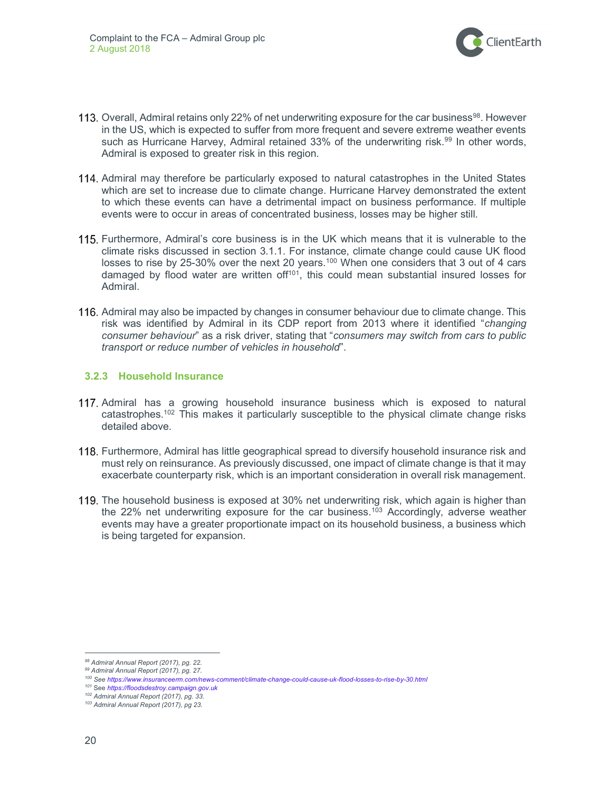

- 113. Overall, Admiral retains only 22% of net underwriting exposure for the car business<sup>98</sup>. However in the US, which is expected to suffer from more frequent and severe extreme weather events such as Hurricane Harvey, Admiral retained  $33\%$  of the underwriting risk.<sup>99</sup> In other words, Admiral is exposed to greater risk in this region.
- 114. Admiral may therefore be particularly exposed to natural catastrophes in the United States which are set to increase due to climate change. Hurricane Harvey demonstrated the extent to which these events can have a detrimental impact on business performance. If multiple events were to occur in areas of concentrated business, losses may be higher still.
- 115. Furthermore, Admiral's core business is in the UK which means that it is vulnerable to the climate risks discussed in section 3.1.1. For instance, climate change could cause UK flood losses to rise by 25-30% over the next 20 years.<sup>100</sup> When one considers that 3 out of 4 cars damaged by flood water are written of  $f^{101}$ , this could mean substantial insured losses for Admiral.
- 116. Admiral may also be impacted by changes in consumer behaviour due to climate change. This risk was identified by Admiral in its CDP report from 2013 where it identified "changing consumer behaviour" as a risk driver, stating that "consumers may switch from cars to public transport or reduce number of vehicles in household".

#### 3.2.3 Household Insurance

- 117. Admiral has a growing household insurance business which is exposed to natural catastrophes.<sup>102</sup> This makes it particularly susceptible to the physical climate change risks detailed above.
- 118. Furthermore, Admiral has little geographical spread to diversify household insurance risk and must rely on reinsurance. As previously discussed, one impact of climate change is that it may exacerbate counterparty risk, which is an important consideration in overall risk management.
- 119. The household business is exposed at 30% net underwriting risk, which again is higher than the 22% net underwriting exposure for the car business.<sup>103</sup> Accordingly, adverse weather events may have a greater proportionate impact on its household business, a business which is being targeted for expansion.

<sup>98</sup> Admiral Annual Report (2017), pq. 22.

<sup>99</sup> Admiral Annual Report (2017), pg. 27.

<sup>100</sup> See https://www.insuranceerm.com/news-comment/climate-change-could-cause-uk-flood-losses-to-rise-by-30.html

<sup>101</sup> See https://floodsdestroy.campaign.gov.uk

<sup>102</sup> Admiral Annual Report (2017), pg. 33.

<sup>103</sup> Admiral Annual Report (2017), pg 23.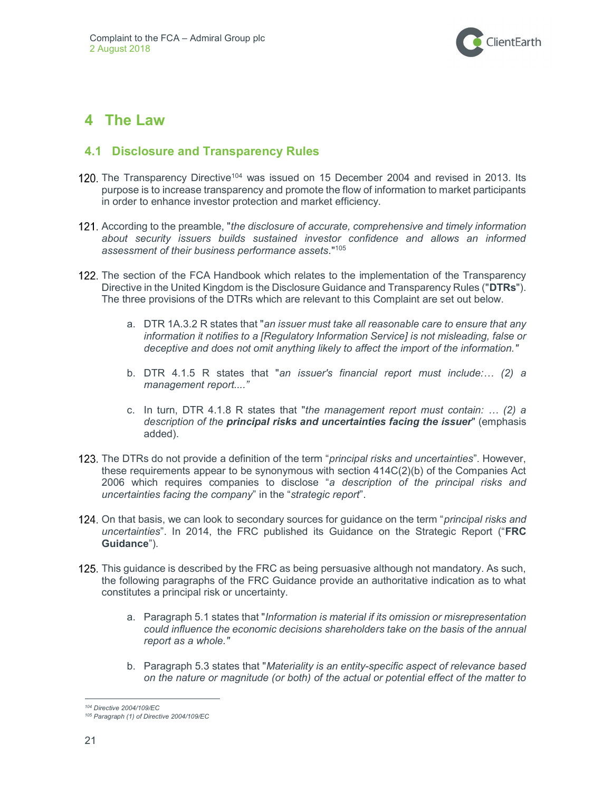

## 4 The Law

### 4.1 Disclosure and Transparency Rules

- 120. The Transparency Directive<sup>104</sup> was issued on 15 December 2004 and revised in 2013. Its purpose is to increase transparency and promote the flow of information to market participants in order to enhance investor protection and market efficiency.
- 121. According to the preamble, "the disclosure of accurate, comprehensive and timely information about security issuers builds sustained investor confidence and allows an informed assessment of their business performance assets."<sup>105</sup>
- 122. The section of the FCA Handbook which relates to the implementation of the Transparency Directive in the United Kingdom is the Disclosure Guidance and Transparency Rules ("DTRs"). The three provisions of the DTRs which are relevant to this Complaint are set out below.
	- a. DTR 1A.3.2 R states that "an issuer must take all reasonable care to ensure that any information it notifies to a [Regulatory Information Service] is not misleading, false or deceptive and does not omit anything likely to affect the import of the information."
	- b. DTR 4.1.5 R states that "an issuer's financial report must include:... (2) a management report...."
	- c. In turn, DTR 4.1.8 R states that "the management report must contain:  $\ldots$  (2) a description of the **principal risks and uncertainties facing the issuer**" (emphasis added).
- 123. The DTRs do not provide a definition of the term "*principal risks and uncertainties*". However, these requirements appear to be synonymous with section 414C(2)(b) of the Companies Act 2006 which requires companies to disclose "a description of the principal risks and uncertainties facing the company" in the "strategic report".
- 124. On that basis, we can look to secondary sources for guidance on the term "*principal risks and* uncertainties". In 2014, the FRC published its Guidance on the Strategic Report ("FRC Guidance").
- 125. This guidance is described by the FRC as being persuasive although not mandatory. As such, the following paragraphs of the FRC Guidance provide an authoritative indication as to what constitutes a principal risk or uncertainty.
	- a. Paragraph 5.1 states that "Information is material if its omission or misrepresentation could influence the economic decisions shareholders take on the basis of the annual report as a whole."
	- b. Paragraph 5.3 states that "Materiality is an entity-specific aspect of relevance based on the nature or magnitude (or both) of the actual or potential effect of the matter to

 $\overline{a}$ <sup>104</sup> Directive 2004/109/EC

<sup>105</sup> Paragraph (1) of Directive 2004/109/EC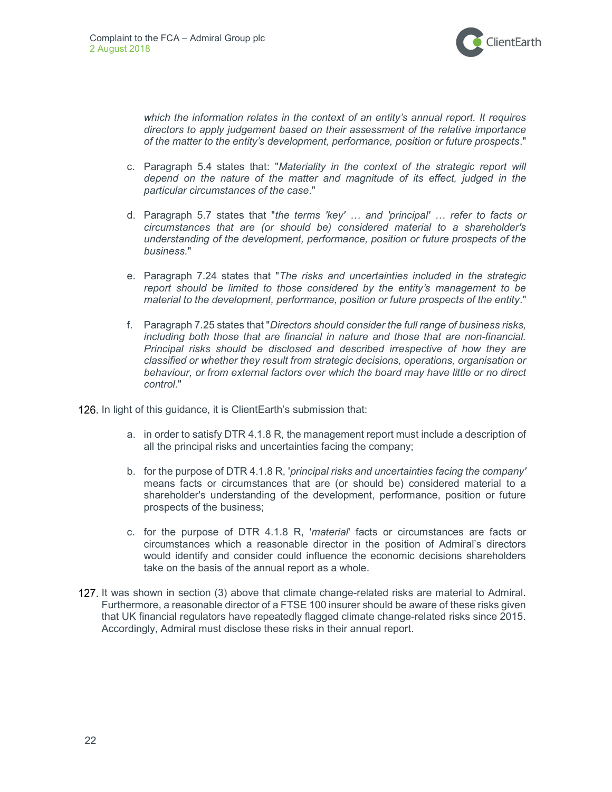

which the information relates in the context of an entity's annual report. It requires directors to apply judgement based on their assessment of the relative importance of the matter to the entity's development, performance, position or future prospects."

- c. Paragraph 5.4 states that: "Materiality in the context of the strategic report will depend on the nature of the matter and magnitude of its effect, judged in the particular circumstances of the case."
- d. Paragraph 5.7 states that "the terms 'key' … and 'principal' … refer to facts or circumstances that are (or should be) considered material to a shareholder's understanding of the development, performance, position or future prospects of the business."
- e. Paragraph 7.24 states that "The risks and uncertainties included in the strategic report should be limited to those considered by the entity's management to be material to the development, performance, position or future prospects of the entity."
- f. Paragraph 7.25 states that "Directors should consider the full range of business risks, including both those that are financial in nature and those that are non-financial. Principal risks should be disclosed and described irrespective of how they are classified or whether they result from strategic decisions, operations, organisation or behaviour, or from external factors over which the board may have little or no direct control."

126. In light of this guidance, it is ClientEarth's submission that:

- a. in order to satisfy DTR 4.1.8 R, the management report must include a description of all the principal risks and uncertainties facing the company;
- b. for the purpose of DTR 4.1.8 R, 'principal risks and uncertainties facing the company' means facts or circumstances that are (or should be) considered material to a shareholder's understanding of the development, performance, position or future prospects of the business;
- c. for the purpose of DTR 4.1.8 R, 'material' facts or circumstances are facts or circumstances which a reasonable director in the position of Admiral's directors would identify and consider could influence the economic decisions shareholders take on the basis of the annual report as a whole.
- 127. It was shown in section (3) above that climate change-related risks are material to Admiral. Furthermore, a reasonable director of a FTSE 100 insurer should be aware of these risks given that UK financial regulators have repeatedly flagged climate change-related risks since 2015. Accordingly, Admiral must disclose these risks in their annual report.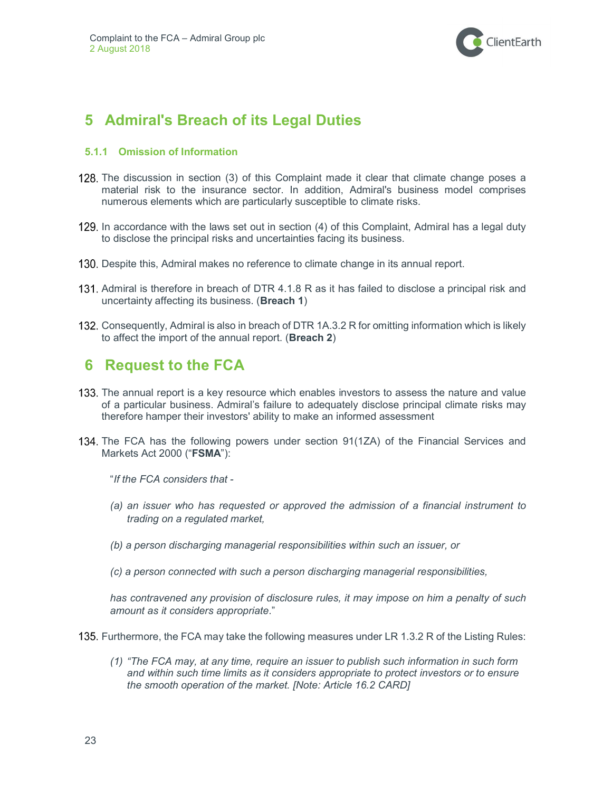

# 5 Admiral's Breach of its Legal Duties

#### 5.1.1 Omission of Information

- 128. The discussion in section (3) of this Complaint made it clear that climate change poses a material risk to the insurance sector. In addition, Admiral's business model comprises numerous elements which are particularly susceptible to climate risks.
- 129. In accordance with the laws set out in section (4) of this Complaint, Admiral has a legal duty to disclose the principal risks and uncertainties facing its business.
- 130. Despite this, Admiral makes no reference to climate change in its annual report.
- 131. Admiral is therefore in breach of DTR 4.1.8 R as it has failed to disclose a principal risk and uncertainty affecting its business. (Breach 1)
- 132. Consequently, Admiral is also in breach of DTR 1A.3.2 R for omitting information which is likely to affect the import of the annual report. (Breach 2)

## 6 Request to the FCA

- 133. The annual report is a key resource which enables investors to assess the nature and value of a particular business. Admiral's failure to adequately disclose principal climate risks may therefore hamper their investors' ability to make an informed assessment
- 134. The FCA has the following powers under section 91(1ZA) of the Financial Services and Markets Act 2000 ("FSMA"):

"If the FCA considers that -

- (a) an issuer who has requested or approved the admission of a financial instrument to trading on a regulated market,
- (b) a person discharging managerial responsibilities within such an issuer, or
- (c) a person connected with such a person discharging managerial responsibilities,

has contravened any provision of disclosure rules, it may impose on him a penalty of such amount as it considers appropriate."

135. Furthermore, the FCA may take the following measures under LR 1.3.2 R of the Listing Rules:

(1) "The FCA may, at any time, require an issuer to publish such information in such form and within such time limits as it considers appropriate to protect investors or to ensure the smooth operation of the market. [Note: Article 16.2 CARD]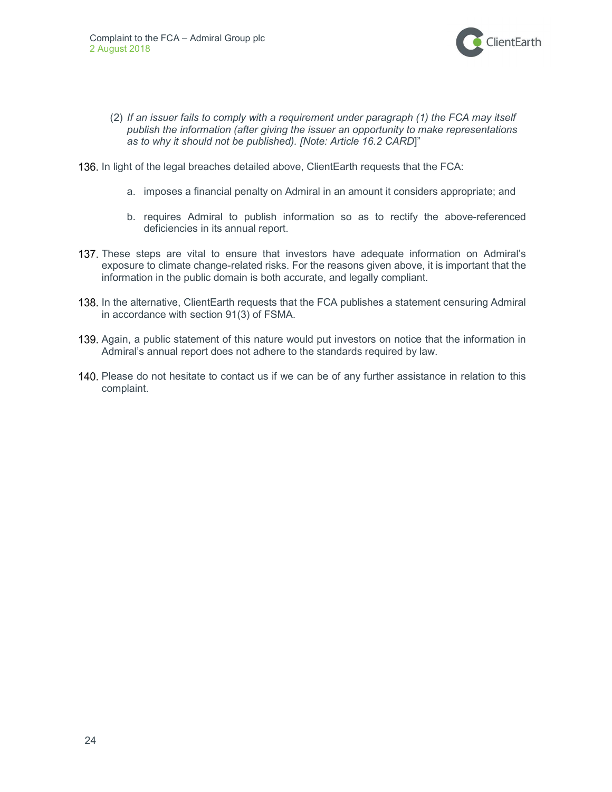

- (2) If an issuer fails to comply with a requirement under paragraph (1) the FCA may itself publish the information (after giving the issuer an opportunity to make representations as to why it should not be published). [Note: Article 16.2 CARD]"
- 136. In light of the legal breaches detailed above, ClientEarth requests that the FCA:
	- a. imposes a financial penalty on Admiral in an amount it considers appropriate; and
	- b. requires Admiral to publish information so as to rectify the above-referenced deficiencies in its annual report.
- 137. These steps are vital to ensure that investors have adequate information on Admiral's exposure to climate change-related risks. For the reasons given above, it is important that the information in the public domain is both accurate, and legally compliant.
- 138. In the alternative, ClientEarth requests that the FCA publishes a statement censuring Admiral in accordance with section 91(3) of FSMA.
- 139. Again, a public statement of this nature would put investors on notice that the information in Admiral's annual report does not adhere to the standards required by law.
- 140. Please do not hesitate to contact us if we can be of any further assistance in relation to this complaint.